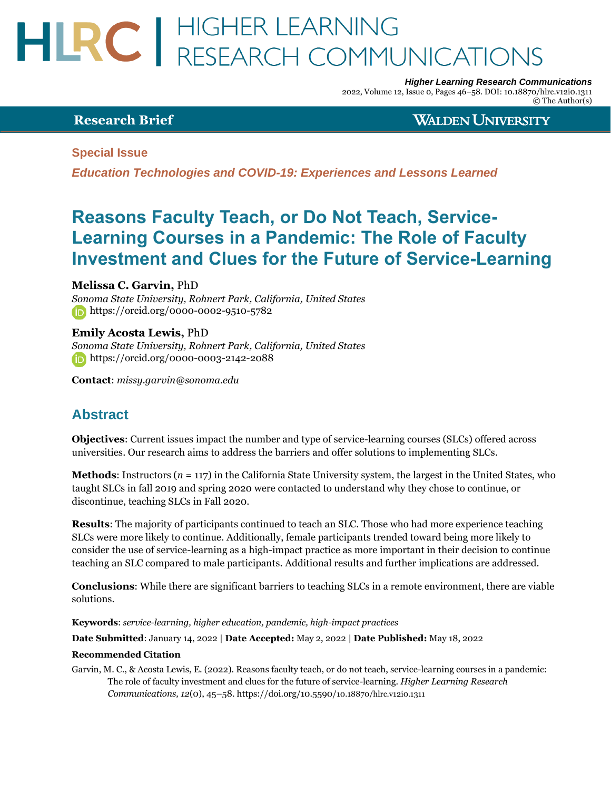# HLRC | HIGHER LEARNING<br>RESEARCH COMMUNICATIONS

*Higher Learning Research Communications*

2022, Volume 12, Issue 0, Pages 46–58. DOI: 10.18870/hlrc.v12i0.1311 © The Author(s)

#### **Research Brief**

**WALDEN UNIVERSITY** 

**Special Issue**

*Education Technologies and COVID-19: Experiences and Lessons Learned*

## **Reasons Faculty Teach, or Do Not Teach, Service-Learning Courses in a Pandemic: The Role of Faculty Investment and Clues for the Future of Service-Learning**

**Melissa C. Garvin,** PhD

*Sonoma State University, Rohnert Park, California, United States* <https://orcid.org/0000-0002-9510-5782>

**Emily Acosta Lewis,** PhD *Sonoma State University, Rohnert Park, California, United States* <https://orcid.org/0000-0003-2142-2088>

**Contact**: *[missy.garvin@sonoma.edu](mailto:missy.garvin@sonoma.edu)*

## **Abstract**

**Objectives**: Current issues impact the number and type of service-learning courses (SLCs) offered across universities. Our research aims to address the barriers and offer solutions to implementing SLCs.

**Methods**: Instructors (*n* = 117) in the California State University system, the largest in the United States, who taught SLCs in fall 2019 and spring 2020 were contacted to understand why they chose to continue, or discontinue, teaching SLCs in Fall 2020.

**Results**: The majority of participants continued to teach an SLC. Those who had more experience teaching SLCs were more likely to continue. Additionally, female participants trended toward being more likely to consider the use of service-learning as a high-impact practice as more important in their decision to continue teaching an SLC compared to male participants. Additional results and further implications are addressed.

**Conclusions**: While there are significant barriers to teaching SLCs in a remote environment, there are viable solutions.

**Keywords**: *service-learning, higher education, pandemic, high-impact practices*

**Date Submitted**: January 14, 2022 | **Date Accepted:** May 2, 2022 | **Date Published:** May 18, 2022

#### **Recommended Citation**

Garvin, M. C., & Acosta Lewis, E. (2022). Reasons faculty teach, or do not teach, service-learning courses in a pandemic: The role of faculty investment and clues for the future of service-learning. *Higher Learning Research Communications, 12*(0), 45–58[. https://doi.org/10.5590/](https://doi.org/10.5590/10.18870/hlrc.v12i0.1311)10.18870/hlrc.v12i[0.1311](https://doi.org/10.5590/10.18870/hlrc.v12i0.1311)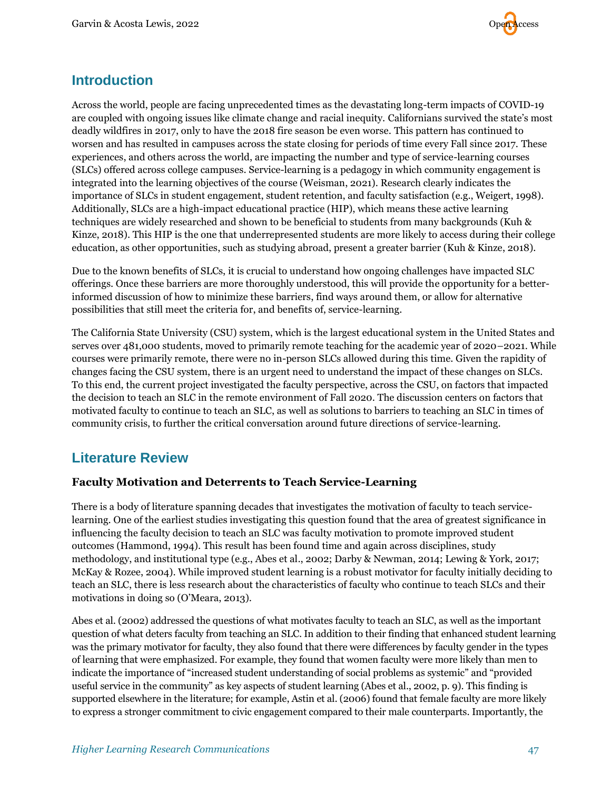

### **Introduction**

Across the world, people are facing unprecedented times as the devastating long-term impacts of COVID-19 are coupled with ongoing issues like climate change and racial inequity. Californians survived the state's most deadly wildfires in 2017, only to have the 2018 fire season be even worse. This pattern has continued to worsen and has resulted in campuses across the state closing for periods of time every Fall since 2017. These experiences, and others across the world, are impacting the number and type of service-learning courses (SLCs) offered across college campuses. Service-learning is a pedagogy in which community engagement is integrated into the learning objectives of the course (Weisman, 2021). Research clearly indicates the importance of SLCs in student engagement, student retention, and faculty satisfaction (e.g., Weigert, 1998). Additionally, SLCs are a high-impact educational practice (HIP), which means these active learning techniques are widely researched and shown to be beneficial to students from many backgrounds (Kuh & Kinze, 2018). This HIP is the one that underrepresented students are more likely to access during their college education, as other opportunities, such as studying abroad, present a greater barrier (Kuh & Kinze, 2018).

Due to the known benefits of SLCs, it is crucial to understand how ongoing challenges have impacted SLC offerings. Once these barriers are more thoroughly understood, this will provide the opportunity for a betterinformed discussion of how to minimize these barriers, find ways around them, or allow for alternative possibilities that still meet the criteria for, and benefits of, service-learning.

The California State University (CSU) system, which is the largest educational system in the United States and serves over 481,000 students, moved to primarily remote teaching for the academic year of 2020–2021. While courses were primarily remote, there were no in-person SLCs allowed during this time. Given the rapidity of changes facing the CSU system, there is an urgent need to understand the impact of these changes on SLCs. To this end, the current project investigated the faculty perspective, across the CSU, on factors that impacted the decision to teach an SLC in the remote environment of Fall 2020. The discussion centers on factors that motivated faculty to continue to teach an SLC, as well as solutions to barriers to teaching an SLC in times of community crisis, to further the critical conversation around future directions of service-learning.

## **Literature Review**

#### **Faculty Motivation and Deterrents to Teach Service-Learning**

There is a body of literature spanning decades that investigates the motivation of faculty to teach servicelearning. One of the earliest studies investigating this question found that the area of greatest significance in influencing the faculty decision to teach an SLC was faculty motivation to promote improved student outcomes (Hammond, 1994). This result has been found time and again across disciplines, study methodology, and institutional type (e.g., Abes et al., 2002; Darby & Newman, 2014; Lewing & York, 2017; McKay & Rozee, 2004). While improved student learning is a robust motivator for faculty initially deciding to teach an SLC, there is less research about the characteristics of faculty who continue to teach SLCs and their motivations in doing so (O'Meara, 2013).

Abes et al. (2002) addressed the questions of what motivates faculty to teach an SLC, as well as the important question of what deters faculty from teaching an SLC. In addition to their finding that enhanced student learning was the primary motivator for faculty, they also found that there were differences by faculty gender in the types of learning that were emphasized. For example, they found that women faculty were more likely than men to indicate the importance of "increased student understanding of social problems as systemic" and "provided useful service in the community" as key aspects of student learning (Abes et al., 2002, p. 9). This finding is supported elsewhere in the literature; for example, Astin et al. (2006) found that female faculty are more likely to express a stronger commitment to civic engagement compared to their male counterparts. Importantly, the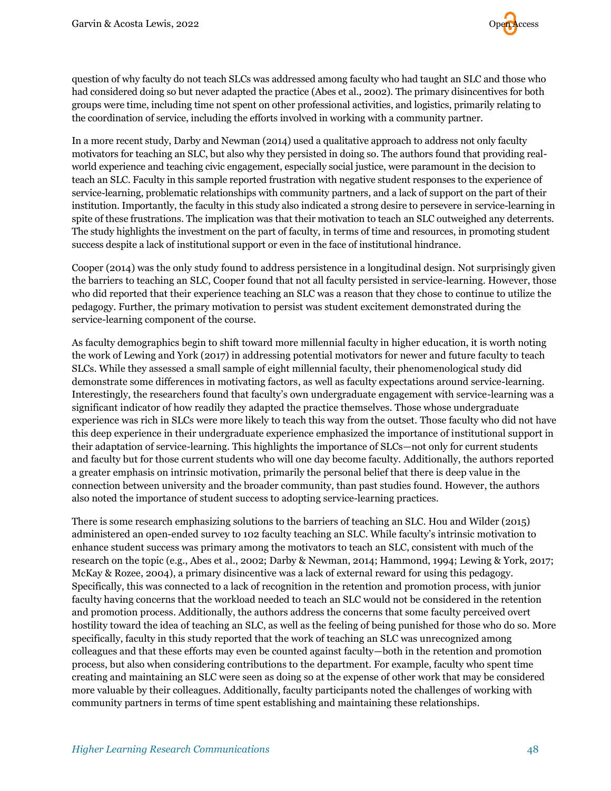

question of why faculty do not teach SLCs was addressed among faculty who had taught an SLC and those who had considered doing so but never adapted the practice (Abes et al., 2002). The primary disincentives for both groups were time, including time not spent on other professional activities, and logistics, primarily relating to the coordination of service, including the efforts involved in working with a community partner.

In a more recent study, Darby and Newman (2014) used a qualitative approach to address not only faculty motivators for teaching an SLC, but also why they persisted in doing so. The authors found that providing realworld experience and teaching civic engagement, especially social justice, were paramount in the decision to teach an SLC. Faculty in this sample reported frustration with negative student responses to the experience of service-learning, problematic relationships with community partners, and a lack of support on the part of their institution. Importantly, the faculty in this study also indicated a strong desire to persevere in service-learning in spite of these frustrations. The implication was that their motivation to teach an SLC outweighed any deterrents. The study highlights the investment on the part of faculty, in terms of time and resources, in promoting student success despite a lack of institutional support or even in the face of institutional hindrance.

Cooper (2014) was the only study found to address persistence in a longitudinal design. Not surprisingly given the barriers to teaching an SLC, Cooper found that not all faculty persisted in service-learning. However, those who did reported that their experience teaching an SLC was a reason that they chose to continue to utilize the pedagogy. Further, the primary motivation to persist was student excitement demonstrated during the service-learning component of the course.

As faculty demographics begin to shift toward more millennial faculty in higher education, it is worth noting the work of Lewing and York (2017) in addressing potential motivators for newer and future faculty to teach SLCs. While they assessed a small sample of eight millennial faculty, their phenomenological study did demonstrate some differences in motivating factors, as well as faculty expectations around service-learning. Interestingly, the researchers found that faculty's own undergraduate engagement with service-learning was a significant indicator of how readily they adapted the practice themselves. Those whose undergraduate experience was rich in SLCs were more likely to teach this way from the outset. Those faculty who did not have this deep experience in their undergraduate experience emphasized the importance of institutional support in their adaptation of service-learning. This highlights the importance of SLCs—not only for current students and faculty but for those current students who will one day become faculty. Additionally, the authors reported a greater emphasis on intrinsic motivation, primarily the personal belief that there is deep value in the connection between university and the broader community, than past studies found. However, the authors also noted the importance of student success to adopting service-learning practices.

There is some research emphasizing solutions to the barriers of teaching an SLC. Hou and Wilder (2015) administered an open-ended survey to 102 faculty teaching an SLC. While faculty's intrinsic motivation to enhance student success was primary among the motivators to teach an SLC, consistent with much of the research on the topic (e.g., Abes et al., 2002; Darby & Newman, 2014; Hammond, 1994; Lewing & York, 2017; McKay & Rozee, 2004), a primary disincentive was a lack of external reward for using this pedagogy. Specifically, this was connected to a lack of recognition in the retention and promotion process, with junior faculty having concerns that the workload needed to teach an SLC would not be considered in the retention and promotion process. Additionally, the authors address the concerns that some faculty perceived overt hostility toward the idea of teaching an SLC, as well as the feeling of being punished for those who do so. More specifically, faculty in this study reported that the work of teaching an SLC was unrecognized among colleagues and that these efforts may even be counted against faculty—both in the retention and promotion process, but also when considering contributions to the department. For example, faculty who spent time creating and maintaining an SLC were seen as doing so at the expense of other work that may be considered more valuable by their colleagues. Additionally, faculty participants noted the challenges of working with community partners in terms of time spent establishing and maintaining these relationships.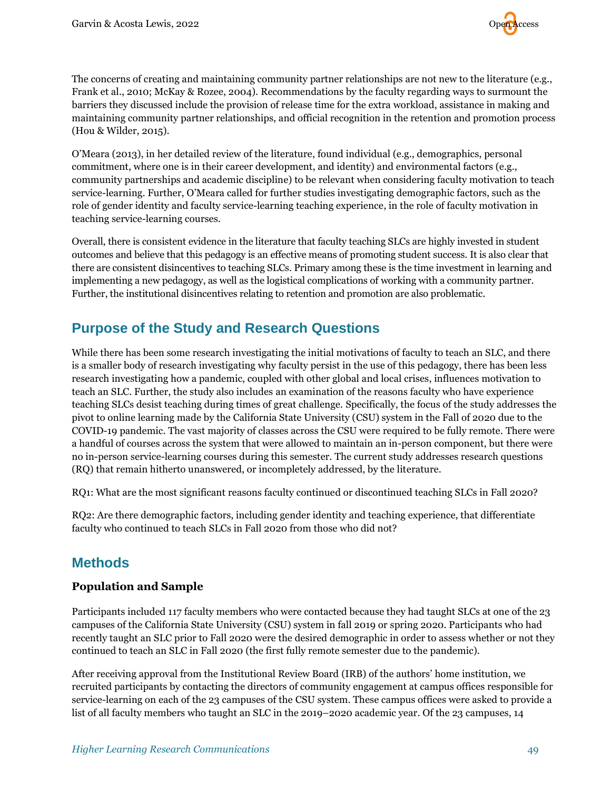The concerns of creating and maintaining community partner relationships are not new to the literature (e.g., Frank et al., 2010; McKay & Rozee, 2004). Recommendations by the faculty regarding ways to surmount the barriers they discussed include the provision of release time for the extra workload, assistance in making and maintaining community partner relationships, and official recognition in the retention and promotion process (Hou & Wilder, 2015).

O'Meara (2013), in her detailed review of the literature, found individual (e.g., demographics, personal commitment, where one is in their career development, and identity) and environmental factors (e.g., community partnerships and academic discipline) to be relevant when considering faculty motivation to teach service-learning. Further, O'Meara called for further studies investigating demographic factors, such as the role of gender identity and faculty service-learning teaching experience, in the role of faculty motivation in teaching service-learning courses.

Overall, there is consistent evidence in the literature that faculty teaching SLCs are highly invested in student outcomes and believe that this pedagogy is an effective means of promoting student success. It is also clear that there are consistent disincentives to teaching SLCs. Primary among these is the time investment in learning and implementing a new pedagogy, as well as the logistical complications of working with a community partner. Further, the institutional disincentives relating to retention and promotion are also problematic.

## **Purpose of the Study and Research Questions**

While there has been some research investigating the initial motivations of faculty to teach an SLC, and there is a smaller body of research investigating why faculty persist in the use of this pedagogy, there has been less research investigating how a pandemic, coupled with other global and local crises, influences motivation to teach an SLC. Further, the study also includes an examination of the reasons faculty who have experience teaching SLCs desist teaching during times of great challenge. Specifically, the focus of the study addresses the pivot to online learning made by the California State University (CSU) system in the Fall of 2020 due to the COVID-19 pandemic. The vast majority of classes across the CSU were required to be fully remote. There were a handful of courses across the system that were allowed to maintain an in-person component, but there were no in-person service-learning courses during this semester. The current study addresses research questions (RQ) that remain hitherto unanswered, or incompletely addressed, by the literature.

RQ1: What are the most significant reasons faculty continued or discontinued teaching SLCs in Fall 2020?

RQ2: Are there demographic factors, including gender identity and teaching experience, that differentiate faculty who continued to teach SLCs in Fall 2020 from those who did not?

## **Methods**

#### **Population and Sample**

Participants included 117 faculty members who were contacted because they had taught SLCs at one of the 23 campuses of the California State University (CSU) system in fall 2019 or spring 2020. Participants who had recently taught an SLC prior to Fall 2020 were the desired demographic in order to assess whether or not they continued to teach an SLC in Fall 2020 (the first fully remote semester due to the pandemic).

After receiving approval from the Institutional Review Board (IRB) of the authors' home institution, we recruited participants by contacting the directors of community engagement at campus offices responsible for service-learning on each of the 23 campuses of the CSU system. These campus offices were asked to provide a list of all faculty members who taught an SLC in the 2019–2020 academic year. Of the 23 campuses, 14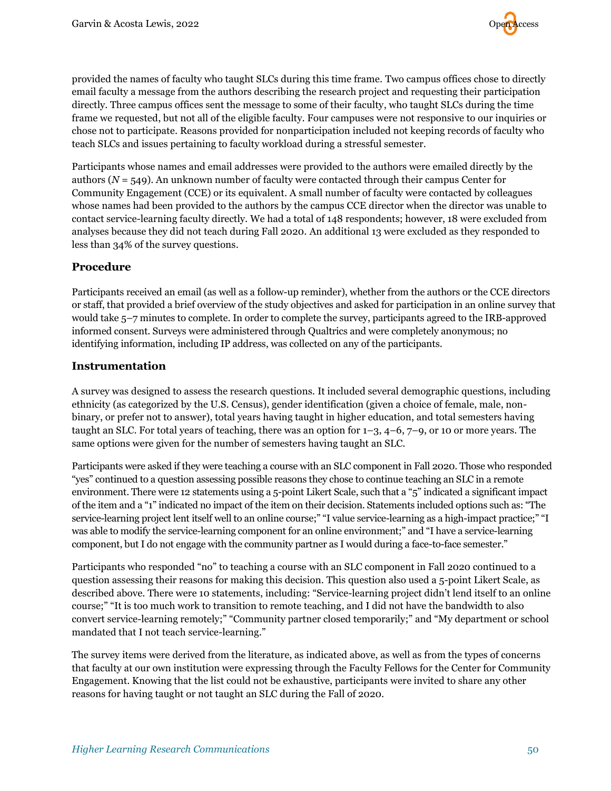

provided the names of faculty who taught SLCs during this time frame. Two campus offices chose to directly email faculty a message from the authors describing the research project and requesting their participation directly. Three campus offices sent the message to some of their faculty, who taught SLCs during the time frame we requested, but not all of the eligible faculty. Four campuses were not responsive to our inquiries or chose not to participate. Reasons provided for nonparticipation included not keeping records of faculty who teach SLCs and issues pertaining to faculty workload during a stressful semester.

Participants whose names and email addresses were provided to the authors were emailed directly by the authors  $(N = 549)$ . An unknown number of faculty were contacted through their campus Center for Community Engagement (CCE) or its equivalent. A small number of faculty were contacted by colleagues whose names had been provided to the authors by the campus CCE director when the director was unable to contact service-learning faculty directly. We had a total of 148 respondents; however, 18 were excluded from analyses because they did not teach during Fall 2020. An additional 13 were excluded as they responded to less than 34% of the survey questions.

#### **Procedure**

Participants received an email (as well as a follow-up reminder), whether from the authors or the CCE directors or staff, that provided a brief overview of the study objectives and asked for participation in an online survey that would take 5–7 minutes to complete. In order to complete the survey, participants agreed to the IRB-approved informed consent. Surveys were administered through Qualtrics and were completely anonymous; no identifying information, including IP address, was collected on any of the participants.

#### **Instrumentation**

A survey was designed to assess the research questions. It included several demographic questions, including ethnicity (as categorized by the U.S. Census), gender identification (given a choice of female, male, nonbinary, or prefer not to answer), total years having taught in higher education, and total semesters having taught an SLC. For total years of teaching, there was an option for 1–3, 4–6, 7–9, or 10 or more years. The same options were given for the number of semesters having taught an SLC.

Participants were asked if they were teaching a course with an SLC component in Fall 2020. Those who responded "yes" continued to a question assessing possible reasons they chose to continue teaching an SLC in a remote environment. There were 12 statements using a 5-point Likert Scale, such that a "5" indicated a significant impact of the item and a "1" indicated no impact of the item on their decision. Statements included options such as: "The service-learning project lent itself well to an online course;" "I value service-learning as a high-impact practice;" "I was able to modify the service-learning component for an online environment;" and "I have a service-learning component, but I do not engage with the community partner as I would during a face-to-face semester."

Participants who responded "no" to teaching a course with an SLC component in Fall 2020 continued to a question assessing their reasons for making this decision. This question also used a 5-point Likert Scale, as described above. There were 10 statements, including: "Service-learning project didn't lend itself to an online course;" "It is too much work to transition to remote teaching, and I did not have the bandwidth to also convert service-learning remotely;" "Community partner closed temporarily;" and "My department or school mandated that I not teach service-learning."

The survey items were derived from the literature, as indicated above, as well as from the types of concerns that faculty at our own institution were expressing through the Faculty Fellows for the Center for Community Engagement. Knowing that the list could not be exhaustive, participants were invited to share any other reasons for having taught or not taught an SLC during the Fall of 2020.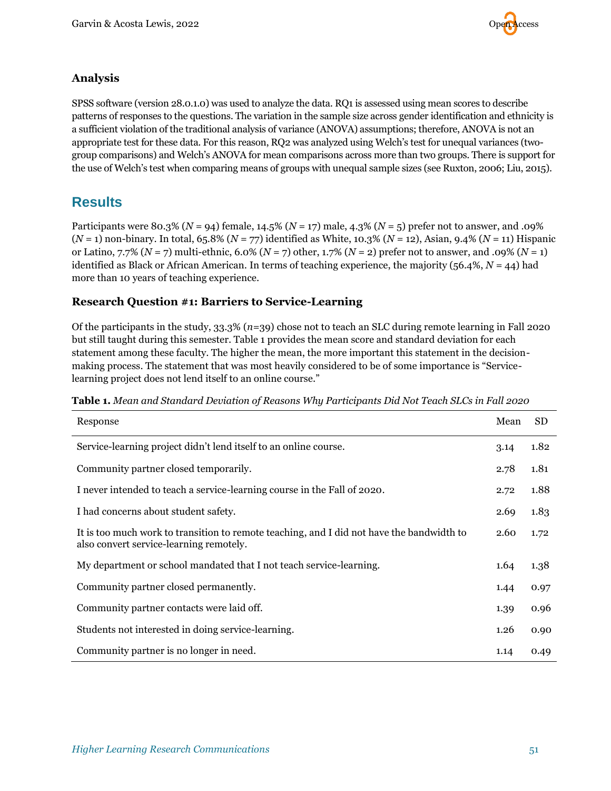

#### **Analysis**

SPSS software (version 28.0.1.0) was used to analyze the data. RQ1 is assessed using mean scores to describe patterns of responses to the questions. The variation in the sample size across gender identification and ethnicity is a sufficient violation of the traditional analysis of variance (ANOVA) assumptions; therefore, ANOVA is not an appropriate test for these data. For this reason, RQ2 was analyzed using Welch's test for unequal variances (twogroup comparisons) and Welch's ANOVA for mean comparisons across more than two groups. There is support for the use of Welch's test when comparing means of groups with unequal sample sizes (see Ruxton, 2006; Liu, 2015).

## **Results**

Participants were 80.3% (*N* = 94) female, 14.5% (*N* = 17) male, 4.3% (*N* = 5) prefer not to answer, and .09% (*N* = 1) non-binary. In total, 65.8% (*N* = 77) identified as White, 10.3% (*N* = 12), Asian, 9.4% (*N* = 11) Hispanic or Latino, 7.7% (*N* = 7) multi-ethnic, 6.0% (*N* = 7) other, 1.7% (*N* = 2) prefer not to answer, and .09% (*N* = 1) identified as Black or African American. In terms of teaching experience, the majority (56.4%, *N* = 44) had more than 10 years of teaching experience.

#### **Research Question #1: Barriers to Service-Learning**

Of the participants in the study, 33.3% (*n*=39) chose not to teach an SLC during remote learning in Fall 2020 but still taught during this semester. Table 1 provides the mean score and standard deviation for each statement among these faculty. The higher the mean, the more important this statement in the decisionmaking process. The statement that was most heavily considered to be of some importance is "Servicelearning project does not lend itself to an online course."

|  | <b>Table 1.</b> Mean and Standard Deviation of Reasons Why Participants Did Not Teach SLCs in Fall 2020 |  |  |  |  |
|--|---------------------------------------------------------------------------------------------------------|--|--|--|--|
|  |                                                                                                         |  |  |  |  |

| Response                                                                                                                             | Mean | <b>SD</b> |
|--------------------------------------------------------------------------------------------------------------------------------------|------|-----------|
| Service-learning project didn't lend itself to an online course.                                                                     | 3.14 | 1.82      |
| Community partner closed temporarily.                                                                                                | 2.78 | 1.81      |
| I never intended to teach a service-learning course in the Fall of 2020.                                                             | 2.72 | 1.88      |
| I had concerns about student safety.                                                                                                 | 2.69 | 1.83      |
| It is too much work to transition to remote teaching, and I did not have the bandwidth to<br>also convert service-learning remotely. | 2.60 | 1.72      |
| My department or school mandated that I not teach service-learning.                                                                  | 1.64 | 1.38      |
| Community partner closed permanently.                                                                                                | 1.44 | 0.97      |
| Community partner contacts were laid off.                                                                                            | 1.39 | 0.96      |
| Students not interested in doing service-learning.                                                                                   | 1.26 | 0.90      |
| Community partner is no longer in need.                                                                                              | 1.14 | 0.49      |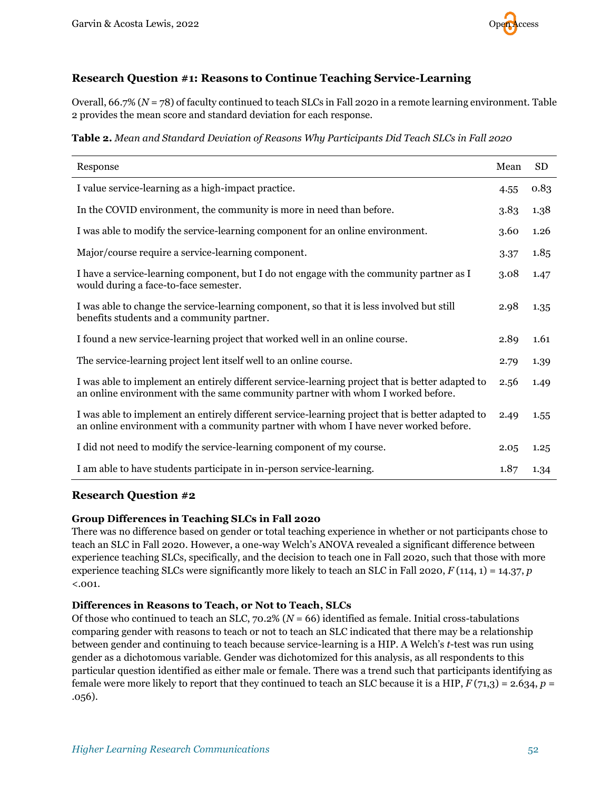

#### **Research Question #1: Reasons to Continue Teaching Service-Learning**

Overall, 66.7% (*N* = 78) of faculty continued to teach SLCs in Fall 2020 in a remote learning environment. Table 2 provides the mean score and standard deviation for each response.

**Table 2.** *Mean and Standard Deviation of Reasons Why Participants Did Teach SLCs in Fall 2020*

| Response                                                                                                                                                                                 | Mean | <b>SD</b> |
|------------------------------------------------------------------------------------------------------------------------------------------------------------------------------------------|------|-----------|
| I value service-learning as a high-impact practice.                                                                                                                                      |      | 0.83      |
| In the COVID environment, the community is more in need than before.                                                                                                                     | 3.83 | 1.38      |
| I was able to modify the service-learning component for an online environment.                                                                                                           | 3.60 | 1.26      |
| Major/course require a service-learning component.                                                                                                                                       | 3.37 | 1.85      |
| I have a service-learning component, but I do not engage with the community partner as I<br>would during a face-to-face semester.                                                        | 3.08 | 1.47      |
| I was able to change the service-learning component, so that it is less involved but still<br>benefits students and a community partner.                                                 | 2.98 | 1.35      |
| I found a new service-learning project that worked well in an online course.                                                                                                             | 2.89 | 1.61      |
| The service-learning project lent itself well to an online course.                                                                                                                       | 2.79 | 1.39      |
| I was able to implement an entirely different service-learning project that is better adapted to<br>an online environment with the same community partner with whom I worked before.     | 2.56 | 1.49      |
| I was able to implement an entirely different service-learning project that is better adapted to<br>an online environment with a community partner with whom I have never worked before. | 2.49 | 1.55      |
| I did not need to modify the service-learning component of my course.                                                                                                                    | 2.05 | 1.25      |
| I am able to have students participate in in-person service-learning.                                                                                                                    | 1.87 | 1.34      |

#### **Research Question #2**

#### **Group Differences in Teaching SLCs in Fall 2020**

There was no difference based on gender or total teaching experience in whether or not participants chose to teach an SLC in Fall 2020. However, a one-way Welch's ANOVA revealed a significant difference between experience teaching SLCs, specifically, and the decision to teach one in Fall 2020, such that those with more experience teaching SLCs were significantly more likely to teach an SLC in Fall 2020, *F* (114, 1) = 14.37, *p*  $< .001.$ 

#### **Differences in Reasons to Teach, or Not to Teach, SLCs**

Of those who continued to teach an SLC, 70.2% (*N* = 66) identified as female. Initial cross-tabulations comparing gender with reasons to teach or not to teach an SLC indicated that there may be a relationship between gender and continuing to teach because service-learning is a HIP. A Welch's *t*-test was run using gender as a dichotomous variable. Gender was dichotomized for this analysis, as all respondents to this particular question identified as either male or female. There was a trend such that participants identifying as female were more likely to report that they continued to teach an SLC because it is a HIP, *F* (71,3) = 2.634, *p* = .056).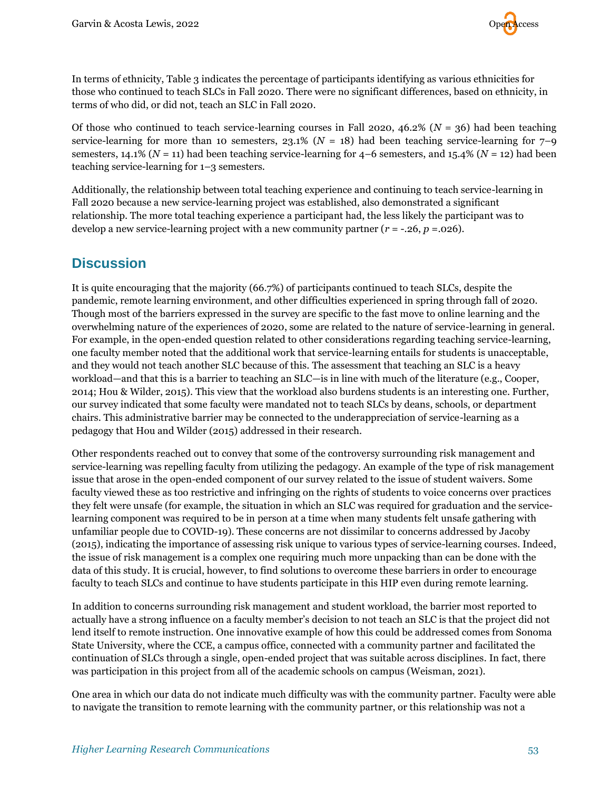

In terms of ethnicity, Table 3 indicates the percentage of participants identifying as various ethnicities for those who continued to teach SLCs in Fall 2020. There were no significant differences, based on ethnicity, in terms of who did, or did not, teach an SLC in Fall 2020.

Of those who continued to teach service-learning courses in Fall 2020, 46.2% ( $N = 36$ ) had been teaching service-learning for more than 10 semesters,  $23.1\%$  ( $N = 18$ ) had been teaching service-learning for 7–9 semesters, 14.1% ( $N = 11$ ) had been teaching service-learning for  $4-6$  semesters, and 15.4% ( $N = 12$ ) had been teaching service-learning for 1–3 semesters.

Additionally, the relationship between total teaching experience and continuing to teach service-learning in Fall 2020 because a new service-learning project was established, also demonstrated a significant relationship. The more total teaching experience a participant had, the less likely the participant was to develop a new service-learning project with a new community partner  $(r = -0.26, p = 0.026)$ .

## **Discussion**

It is quite encouraging that the majority (66.7%) of participants continued to teach SLCs, despite the pandemic, remote learning environment, and other difficulties experienced in spring through fall of 2020. Though most of the barriers expressed in the survey are specific to the fast move to online learning and the overwhelming nature of the experiences of 2020, some are related to the nature of service-learning in general. For example, in the open-ended question related to other considerations regarding teaching service-learning, one faculty member noted that the additional work that service-learning entails for students is unacceptable, and they would not teach another SLC because of this. The assessment that teaching an SLC is a heavy workload—and that this is a barrier to teaching an SLC—is in line with much of the literature (e.g., Cooper, 2014; Hou & Wilder, 2015). This view that the workload also burdens students is an interesting one. Further, our survey indicated that some faculty were mandated not to teach SLCs by deans, schools, or department chairs. This administrative barrier may be connected to the underappreciation of service-learning as a pedagogy that Hou and Wilder (2015) addressed in their research.

Other respondents reached out to convey that some of the controversy surrounding risk management and service-learning was repelling faculty from utilizing the pedagogy. An example of the type of risk management issue that arose in the open-ended component of our survey related to the issue of student waivers. Some faculty viewed these as too restrictive and infringing on the rights of students to voice concerns over practices they felt were unsafe (for example, the situation in which an SLC was required for graduation and the servicelearning component was required to be in person at a time when many students felt unsafe gathering with unfamiliar people due to COVID-19). These concerns are not dissimilar to concerns addressed by Jacoby (2015), indicating the importance of assessing risk unique to various types of service-learning courses. Indeed, the issue of risk management is a complex one requiring much more unpacking than can be done with the data of this study. It is crucial, however, to find solutions to overcome these barriers in order to encourage faculty to teach SLCs and continue to have students participate in this HIP even during remote learning.

In addition to concerns surrounding risk management and student workload, the barrier most reported to actually have a strong influence on a faculty member's decision to not teach an SLC is that the project did not lend itself to remote instruction. One innovative example of how this could be addressed comes from Sonoma State University, where the CCE, a campus office, connected with a community partner and facilitated the continuation of SLCs through a single, open-ended project that was suitable across disciplines. In fact, there was participation in this project from all of the academic schools on campus (Weisman, 2021).

One area in which our data do not indicate much difficulty was with the community partner. Faculty were able to navigate the transition to remote learning with the community partner, or this relationship was not a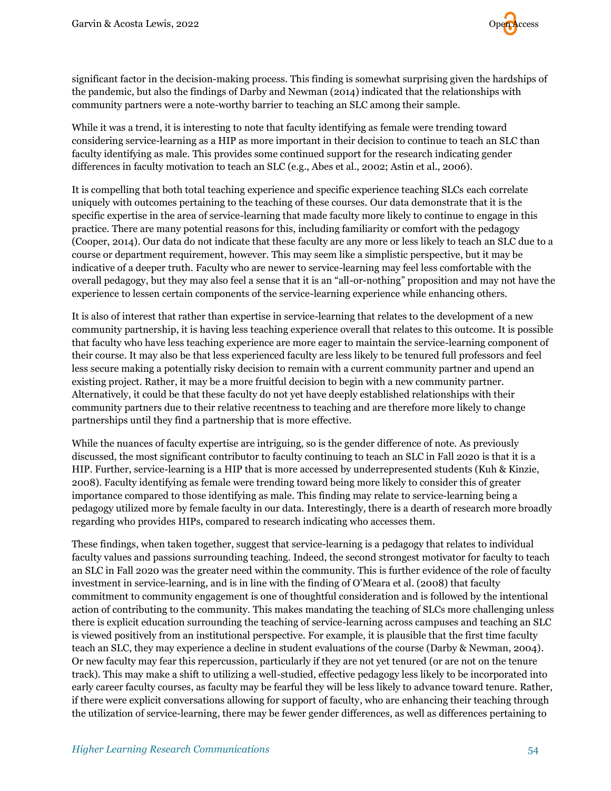

significant factor in the decision-making process. This finding is somewhat surprising given the hardships of the pandemic, but also the findings of Darby and Newman (2014) indicated that the relationships with community partners were a note-worthy barrier to teaching an SLC among their sample.

While it was a trend, it is interesting to note that faculty identifying as female were trending toward considering service-learning as a HIP as more important in their decision to continue to teach an SLC than faculty identifying as male. This provides some continued support for the research indicating gender differences in faculty motivation to teach an SLC (e.g., Abes et al., 2002; Astin et al., 2006).

It is compelling that both total teaching experience and specific experience teaching SLCs each correlate uniquely with outcomes pertaining to the teaching of these courses. Our data demonstrate that it is the specific expertise in the area of service-learning that made faculty more likely to continue to engage in this practice. There are many potential reasons for this, including familiarity or comfort with the pedagogy (Cooper, 2014). Our data do not indicate that these faculty are any more or less likely to teach an SLC due to a course or department requirement, however. This may seem like a simplistic perspective, but it may be indicative of a deeper truth. Faculty who are newer to service-learning may feel less comfortable with the overall pedagogy, but they may also feel a sense that it is an "all-or-nothing" proposition and may not have the experience to lessen certain components of the service-learning experience while enhancing others.

It is also of interest that rather than expertise in service-learning that relates to the development of a new community partnership, it is having less teaching experience overall that relates to this outcome. It is possible that faculty who have less teaching experience are more eager to maintain the service-learning component of their course. It may also be that less experienced faculty are less likely to be tenured full professors and feel less secure making a potentially risky decision to remain with a current community partner and upend an existing project. Rather, it may be a more fruitful decision to begin with a new community partner. Alternatively, it could be that these faculty do not yet have deeply established relationships with their community partners due to their relative recentness to teaching and are therefore more likely to change partnerships until they find a partnership that is more effective.

While the nuances of faculty expertise are intriguing, so is the gender difference of note. As previously discussed, the most significant contributor to faculty continuing to teach an SLC in Fall 2020 is that it is a HIP. Further, service-learning is a HIP that is more accessed by underrepresented students (Kuh & Kinzie, 2008). Faculty identifying as female were trending toward being more likely to consider this of greater importance compared to those identifying as male. This finding may relate to service-learning being a pedagogy utilized more by female faculty in our data. Interestingly, there is a dearth of research more broadly regarding who provides HIPs, compared to research indicating who accesses them.

These findings, when taken together, suggest that service-learning is a pedagogy that relates to individual faculty values and passions surrounding teaching. Indeed, the second strongest motivator for faculty to teach an SLC in Fall 2020 was the greater need within the community. This is further evidence of the role of faculty investment in service-learning, and is in line with the finding of O'Meara et al. (2008) that faculty commitment to community engagement is one of thoughtful consideration and is followed by the intentional action of contributing to the community. This makes mandating the teaching of SLCs more challenging unless there is explicit education surrounding the teaching of service-learning across campuses and teaching an SLC is viewed positively from an institutional perspective. For example, it is plausible that the first time faculty teach an SLC, they may experience a decline in student evaluations of the course (Darby & Newman, 2004). Or new faculty may fear this repercussion, particularly if they are not yet tenured (or are not on the tenure track). This may make a shift to utilizing a well-studied, effective pedagogy less likely to be incorporated into early career faculty courses, as faculty may be fearful they will be less likely to advance toward tenure. Rather, if there were explicit conversations allowing for support of faculty, who are enhancing their teaching through the utilization of service-learning, there may be fewer gender differences, as well as differences pertaining to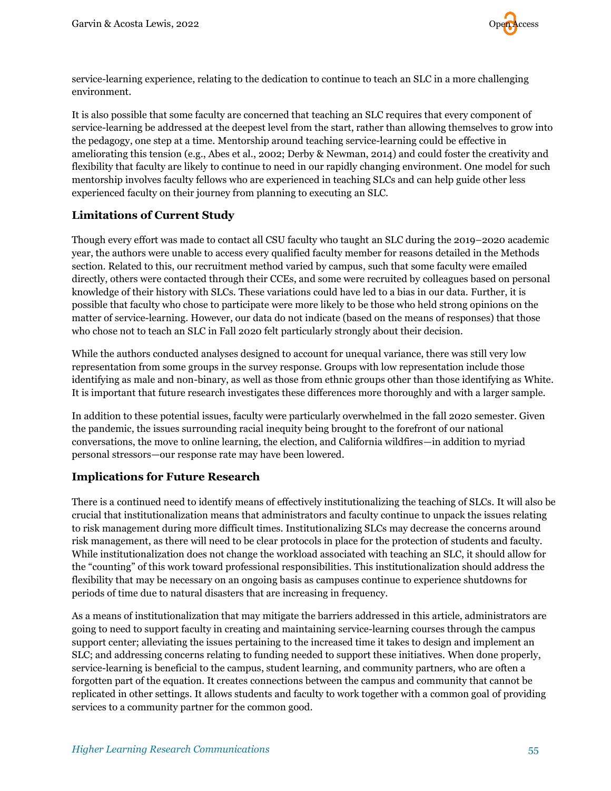

service-learning experience, relating to the dedication to continue to teach an SLC in a more challenging environment.

It is also possible that some faculty are concerned that teaching an SLC requires that every component of service-learning be addressed at the deepest level from the start, rather than allowing themselves to grow into the pedagogy, one step at a time. Mentorship around teaching service-learning could be effective in ameliorating this tension (e.g., Abes et al., 2002; Derby & Newman, 2014) and could foster the creativity and flexibility that faculty are likely to continue to need in our rapidly changing environment. One model for such mentorship involves faculty fellows who are experienced in teaching SLCs and can help guide other less experienced faculty on their journey from planning to executing an SLC.

#### **Limitations of Current Study**

Though every effort was made to contact all CSU faculty who taught an SLC during the 2019–2020 academic year, the authors were unable to access every qualified faculty member for reasons detailed in the Methods section. Related to this, our recruitment method varied by campus, such that some faculty were emailed directly, others were contacted through their CCEs, and some were recruited by colleagues based on personal knowledge of their history with SLCs. These variations could have led to a bias in our data. Further, it is possible that faculty who chose to participate were more likely to be those who held strong opinions on the matter of service-learning. However, our data do not indicate (based on the means of responses) that those who chose not to teach an SLC in Fall 2020 felt particularly strongly about their decision.

While the authors conducted analyses designed to account for unequal variance, there was still very low representation from some groups in the survey response. Groups with low representation include those identifying as male and non-binary, as well as those from ethnic groups other than those identifying as White. It is important that future research investigates these differences more thoroughly and with a larger sample.

In addition to these potential issues, faculty were particularly overwhelmed in the fall 2020 semester. Given the pandemic, the issues surrounding racial inequity being brought to the forefront of our national conversations, the move to online learning, the election, and California wildfires—in addition to myriad personal stressors—our response rate may have been lowered.

#### **Implications for Future Research**

There is a continued need to identify means of effectively institutionalizing the teaching of SLCs. It will also be crucial that institutionalization means that administrators and faculty continue to unpack the issues relating to risk management during more difficult times. Institutionalizing SLCs may decrease the concerns around risk management, as there will need to be clear protocols in place for the protection of students and faculty. While institutionalization does not change the workload associated with teaching an SLC, it should allow for the "counting" of this work toward professional responsibilities. This institutionalization should address the flexibility that may be necessary on an ongoing basis as campuses continue to experience shutdowns for periods of time due to natural disasters that are increasing in frequency.

As a means of institutionalization that may mitigate the barriers addressed in this article, administrators are going to need to support faculty in creating and maintaining service-learning courses through the campus support center; alleviating the issues pertaining to the increased time it takes to design and implement an SLC; and addressing concerns relating to funding needed to support these initiatives. When done properly, service-learning is beneficial to the campus, student learning, and community partners, who are often a forgotten part of the equation. It creates connections between the campus and community that cannot be replicated in other settings. It allows students and faculty to work together with a common goal of providing services to a community partner for the common good.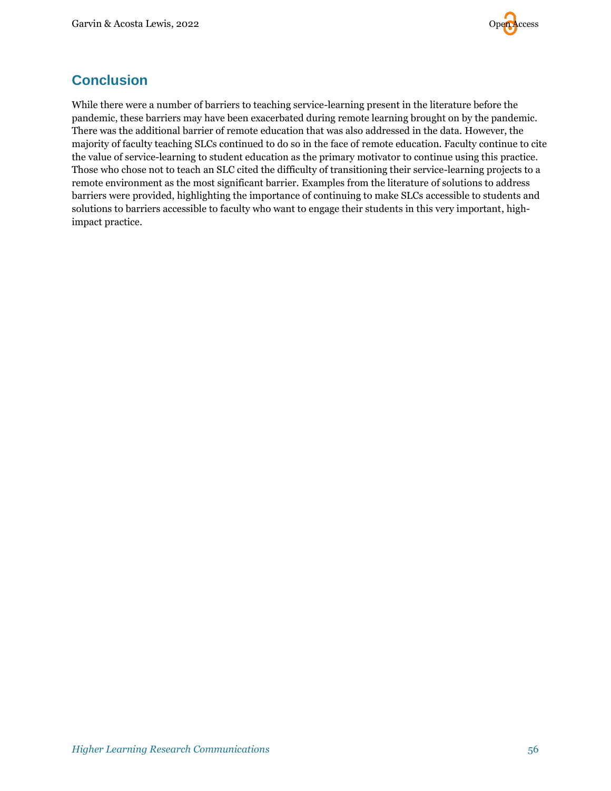

## **Conclusion**

While there were a number of barriers to teaching service-learning present in the literature before the pandemic, these barriers may have been exacerbated during remote learning brought on by the pandemic. There was the additional barrier of remote education that was also addressed in the data. However, the majority of faculty teaching SLCs continued to do so in the face of remote education. Faculty continue to cite the value of service-learning to student education as the primary motivator to continue using this practice. Those who chose not to teach an SLC cited the difficulty of transitioning their service-learning projects to a remote environment as the most significant barrier. Examples from the literature of solutions to address barriers were provided, highlighting the importance of continuing to make SLCs accessible to students and solutions to barriers accessible to faculty who want to engage their students in this very important, highimpact practice.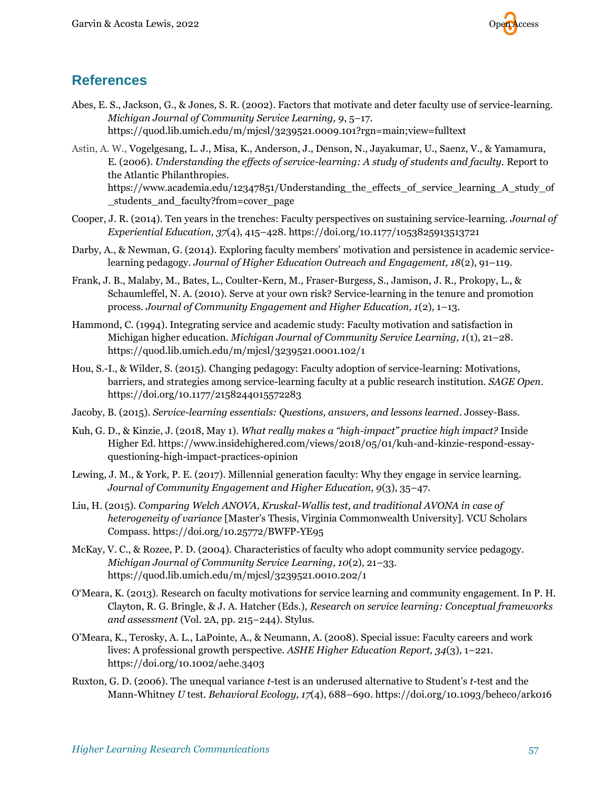

## **References**

- Abes, E. S., Jackson, G., & Jones, S. R. (2002). Factors that motivate and deter faculty use of service-learning. *Michigan Journal of Community Service Learning, 9*, 5–17. <https://quod.lib.umich.edu/m/mjcsl/3239521.0009.101?rgn=main;view=fulltext>
- Astin, A. W., Vogelgesang, L. J., Misa, K., Anderson, J., Denson, N., Jayakumar, U., Saenz, V., & Yamamura, E. (2006). *Understanding the effects of service-learning: A study of students and faculty.* Report to the Atlantic Philanthropies. https://www.academia.edu/12347851/Understanding the effects of service learning A study of [\\_students\\_and\\_faculty?from=cover\\_page](https://www.academia.edu/12347851/Understanding_the_effects_of_service_learning_A_study_of_students_and_faculty?from=cover_page)
- Cooper, J. R. (2014). Ten years in the trenches: Faculty perspectives on sustaining service-learning. *Journal of Experiential Education, 37*(4), 415–428. <https://doi.org/10.1177/1053825913513721>
- Darby, A., & Newman, G. (2014). Exploring faculty members' motivation and persistence in academic servicelearning pedagogy. *Journal of Higher Education Outreach and Engagement, 18*(2), 91–119.
- Frank, J. B., Malaby, M., Bates, L., Coulter-Kern, M., Fraser-Burgess, S., Jamison, J. R., Prokopy, L., & Schaumleffel, N. A. (2010). Serve at your own risk? Service-learning in the tenure and promotion process. *Journal of Community Engagement and Higher Education, 1*(2), 1–13.
- Hammond, C. (1994). Integrating service and academic study: Faculty motivation and satisfaction in Michigan higher education. *Michigan Journal of Community Service Learning, 1*(1), 21–28. <https://quod.lib.umich.edu/m/mjcsl/3239521.0001.102/1>
- Hou, S.-I., & Wilder, S. (2015). Changing pedagogy: Faculty adoption of service-learning: Motivations, barriers, and strategies among service-learning faculty at a public research institution. *SAGE Open.* [https://doi.org/10.1177/2158244015572283](https://doi.org/10.1177%2F2158244015572283)
- Jacoby, B. (2015). *Service-learning essentials: Questions, answers, and lessons learned*. Jossey-Bass.
- Kuh, G. D., & Kinzie, J. (2018, May 1). *What really makes a "high-impact" practice high impact?* Inside Higher Ed. [https://www.insidehighered.com/views/2018/05/01/kuh-and-kinzie-respond-essay](https://www.insidehighered.com/views/2018/05/01/kuh-and-kinzie-respond-essay-questioning-high-impact-practices-opinion)[questioning-high-impact-practices-opinion](https://www.insidehighered.com/views/2018/05/01/kuh-and-kinzie-respond-essay-questioning-high-impact-practices-opinion)
- Lewing, J. M., & York, P. E. (2017). Millennial generation faculty: Why they engage in service learning. *Journal of Community Engagement and Higher Education, 9*(3), 35–47.
- Liu, H. (2015). *Comparing Welch ANOVA, Kruskal-Wallis test, and traditional AVONA in case of heterogeneity of variance* [Master's Thesis, Virginia Commonwealth University]. VCU Scholars Compass. <https://doi.org/10.25772/BWFP-YE95>
- McKay, V. C., & Rozee, P. D. (2004). Characteristics of faculty who adopt community service pedagogy. *Michigan Journal of Community Service Learning, 10*(2), 21–33. <https://quod.lib.umich.edu/m/mjcsl/3239521.0010.202/1>
- O'Meara, K. (2013). Research on faculty motivations for service learning and community engagement. In P. H. Clayton, R. G. Bringle, & J. A. Hatcher (Eds.), *Research on service learning: Conceptual frameworks and assessment* (Vol. 2A, pp. 215–244). Stylus.
- O'Meara, K., Terosky, A. L., LaPointe, A., & Neumann, A. (2008). Special issue: Faculty careers and work lives: A professional growth perspective. *ASHE Higher Education Report, 34*(3), 1–221. <https://doi.org/10.1002/aehe.3403>
- Ruxton, G. D. (2006). The unequal variance *t*-test is an underused alternative to Student's *t*-test and the Mann-Whitney *U* test. *Behavioral Ecology, 17*(4), 688–690. <https://doi.org/10.1093/beheco/ark016>